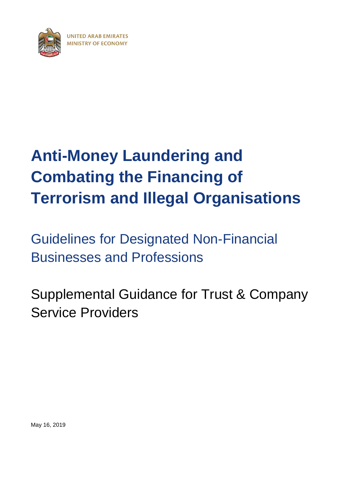<span id="page-0-0"></span>

# **[Anti-Money Laundering](#page-0-0) and [Combating the Financing of](#page-0-0)  [Terrorism and](#page-0-0) Illegal Organisations**

[Guidelines for Designated](#page-0-0) Non-Financial [Businesses and Professions](#page-0-0)

Supplemental Guidance for Trust & Company Service Providers

May 16, 2019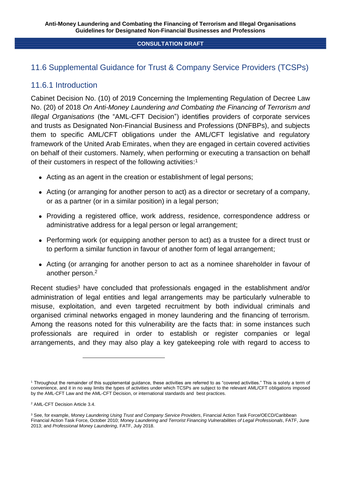# 11.6 Supplemental Guidance for Trust & Company Service Providers (TCSPs)

# 11.6.1 Introduction

Cabinet Decision No. (10) of 2019 Concerning the Implementing Regulation of Decree Law No. (20) of 2018 *On Anti-Money Laundering and Combating the Financing of Terrorism and Illegal Organisations* (the "AML-CFT Decision") identifies providers of corporate services and trusts as Designated Non-Financial Business and Professions (DNFBPs), and subjects them to specific AML/CFT obligations under the AML/CFT legislative and regulatory framework of the United Arab Emirates, when they are engaged in certain covered activities on behalf of their customers. Namely, when performing or executing a transaction on behalf of their customers in respect of the following activities:<sup>1</sup>

- Acting as an agent in the creation or establishment of legal persons;
- Acting (or arranging for another person to act) as a director or secretary of a company, or as a partner (or in a similar position) in a legal person;
- Providing a registered office, work address, residence, correspondence address or administrative address for a legal person or legal arrangement;
- Performing work (or equipping another person to act) as a trustee for a direct trust or to perform a similar function in favour of another form of legal arrangement;
- Acting (or arranging for another person to act as a nominee shareholder in favour of another person.<sup>2</sup>

Recent studies<sup>3</sup> have concluded that professionals engaged in the establishment and/or administration of legal entities and legal arrangements may be particularly vulnerable to misuse, exploitation, and even targeted recruitment by both individual criminals and organised criminal networks engaged in money laundering and the financing of terrorism. Among the reasons noted for this vulnerability are the facts that: in some instances such professionals are required in order to establish or register companies or legal arrangements, and they may also play a key gatekeeping role with regard to access to

<sup>1</sup> Throughout the remainder of this supplemental guidance, these activities are referred to as "covered activities." This is solely a term of convenience, and it in no way limits the types of activities under which TCSPs are subject to the relevant AML/CFT obligations imposed by the AML-CFT Law and the AML-CFT Decision, or international standards and best practices.

<sup>2</sup> AML-CFT Decision Article 3.4.

<sup>3</sup> See, for example, *Money Laundering Using Trust and Company Service Providers*, Financial Action Task Force/OECD/Caribbean Financial Action Task Force, October 2010; *Money Laundering and Terrorist Financing Vulnerabilities of Legal Professionals*, FATF, June 2013; and *Professional Money Laundering*, FATF, July 2018.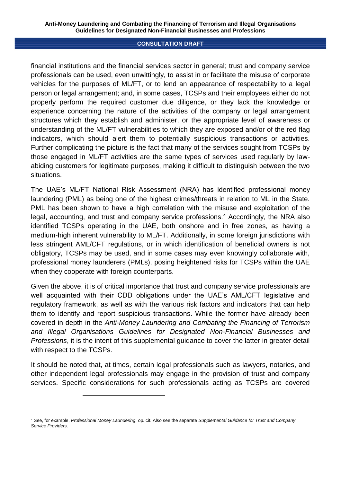financial institutions and the financial services sector in general; trust and company service professionals can be used, even unwittingly, to assist in or facilitate the misuse of corporate vehicles for the purposes of ML/FT, or to lend an appearance of respectability to a legal person or legal arrangement; and, in some cases, TCSPs and their employees either do not properly perform the required customer due diligence, or they lack the knowledge or experience concerning the nature of the activities of the company or legal arrangement structures which they establish and administer, or the appropriate level of awareness or understanding of the ML/FT vulnerabilities to which they are exposed and/or of the red flag indicators, which should alert them to potentially suspicious transactions or activities. Further complicating the picture is the fact that many of the services sought from TCSPs by those engaged in ML/FT activities are the same types of services used regularly by lawabiding customers for legitimate purposes, making it difficult to distinguish between the two situations.

The UAE's ML/FT National Risk Assessment (NRA) has identified professional money laundering (PML) as being one of the highest crimes/threats in relation to ML in the State. PML has been shown to have a high correlation with the misuse and exploitation of the legal, accounting, and trust and company service professions.<sup>4</sup> Accordingly, the NRA also identified TCSPs operating in the UAE, both onshore and in free zones, as having a medium-high inherent vulnerability to ML/FT. Additionally, in some foreign jurisdictions with less stringent AML/CFT regulations, or in which identification of beneficial owners is not obligatory, TCSPs may be used, and in some cases may even knowingly collaborate with, professional money launderers (PMLs), posing heightened risks for TCSPs within the UAE when they cooperate with foreign counterparts.

Given the above, it is of critical importance that trust and company service professionals are well acquainted with their CDD obligations under the UAE's AML/CFT legislative and regulatory framework, as well as with the various risk factors and indicators that can help them to identify and report suspicious transactions. While the former have already been covered in depth in the *Anti-Money Laundering and Combating the Financing of Terrorism and Illegal Organisations Guidelines for Designated Non-Financial Businesses and Professions*, it is the intent of this supplemental guidance to cover the latter in greater detail with respect to the TCSPs.

It should be noted that, at times, certain legal professionals such as lawyers, notaries, and other independent legal professionals may engage in the provision of trust and company services. Specific considerations for such professionals acting as TCSPs are covered

<sup>4</sup> See, for example, *Professional Money Laundering*, op. cit. Also see the separate *Supplemental Guidance for Trust and Company Service Providers*.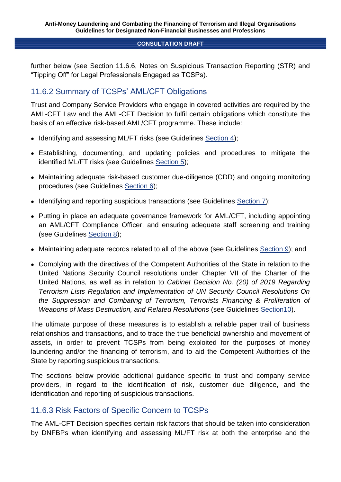further below (see Section 11.6.6, Notes on Suspicious Transaction Reporting (STR) and "Tipping Off" for Legal Professionals Engaged as TCSPs).

# 11.6.2 Summary of TCSPs' AML/CFT Obligations

Trust and Company Service Providers who engage in covered activities are required by the AML-CFT Law and the AML-CFT Decision to fulfil certain obligations which constitute the basis of an effective risk-based AML/CFT programme. These include:

- Identifying and assessing ML/FT risks (see Guidelines Section 4);
- Establishing, documenting, and updating policies and procedures to mitigate the identified ML/FT risks (see Guidelines Section 5);
- Maintaining adequate risk-based customer due-diligence (CDD) and ongoing monitoring procedures (see Guidelines Section 6);
- Identifying and reporting suspicious transactions (see Guidelines Section 7);
- Putting in place an adequate governance framework for AML/CFT, including appointing an AML/CFT Compliance Officer, and ensuring adequate staff screening and training (see Guidelines Section 8);
- Maintaining adequate records related to all of the above (see Guidelines Section 9); and
- Complying with the directives of the Competent Authorities of the State in relation to the United Nations Security Council resolutions under Chapter VII of the Charter of the United Nations, as well as in relation to *Cabinet Decision No. (20) of 2019 Regarding Terrorism Lists Regulation and Implementation of UN Security Council Resolutions On the Suppression and Combating of Terrorism, Terrorists Financing & Proliferation of Weapons of Mass Destruction, and Related Resolutions* (see Guidelines Section10).

The ultimate purpose of these measures is to establish a reliable paper trail of business relationships and transactions, and to trace the true beneficial ownership and movement of assets, in order to prevent TCSPs from being exploited for the purposes of money laundering and/or the financing of terrorism, and to aid the Competent Authorities of the State by reporting suspicious transactions.

The sections below provide additional guidance specific to trust and company service providers, in regard to the identification of risk, customer due diligence, and the identification and reporting of suspicious transactions.

# 11.6.3 Risk Factors of Specific Concern to TCSPs

The AML-CFT Decision specifies certain risk factors that should be taken into consideration by DNFBPs when identifying and assessing ML/FT risk at both the enterprise and the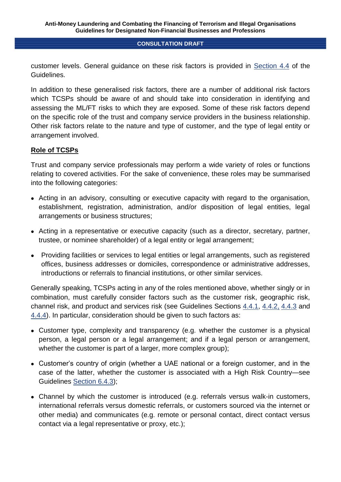customer levels. General guidance on these risk factors is provided in Section 4.4 of the Guidelines.

In addition to these generalised risk factors, there are a number of additional risk factors which TCSPs should be aware of and should take into consideration in identifying and assessing the ML/FT risks to which they are exposed. Some of these risk factors depend on the specific role of the trust and company service providers in the business relationship. Other risk factors relate to the nature and type of customer, and the type of legal entity or arrangement involved.

## **Role of TCSPs**

Trust and company service professionals may perform a wide variety of roles or functions relating to covered activities. For the sake of convenience, these roles may be summarised into the following categories:

- Acting in an advisory, consulting or executive capacity with regard to the organisation, establishment, registration, administration, and/or disposition of legal entities, legal arrangements or business structures;
- Acting in a representative or executive capacity (such as a director, secretary, partner, trustee, or nominee shareholder) of a legal entity or legal arrangement;
- Providing facilities or services to legal entities or legal arrangements, such as registered offices, business addresses or domiciles, correspondence or administrative addresses, introductions or referrals to financial institutions, or other similar services.

Generally speaking, TCSPs acting in any of the roles mentioned above, whether singly or in combination, must carefully consider factors such as the customer risk, geographic risk, channel risk, and product and services risk (see Guidelines Sections 4.4.1, 4.4.2, 4.4.3 and 4.4.4). In particular, consideration should be given to such factors as:

- Customer type, complexity and transparency (e.g. whether the customer is a physical person, a legal person or a legal arrangement; and if a legal person or arrangement, whether the customer is part of a larger, more complex group):
- Customer's country of origin (whether a UAE national or a foreign customer, and in the case of the latter, whether the customer is associated with a High Risk Country—see Guidelines Section 6.4.3);
- Channel by which the customer is introduced (e.g. referrals versus walk-in customers, international referrals versus domestic referrals, or customers sourced via the internet or other media) and communicates (e.g. remote or personal contact, direct contact versus contact via a legal representative or proxy, etc.);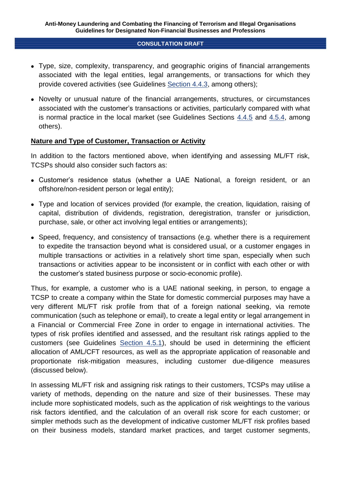- Type, size, complexity, transparency, and geographic origins of financial arrangements associated with the legal entities, legal arrangements, or transactions for which they provide covered activities (see Guidelines Section 4.4.3, among others);
- Novelty or unusual nature of the financial arrangements, structures, or circumstances associated with the customer's transactions or activities, particularly compared with what is normal practice in the local market (see Guidelines Sections 4.4.5 and 4.5.4, among others).

## **Nature and Type of Customer, Transaction or Activity**

In addition to the factors mentioned above, when identifying and assessing ML/FT risk, TCSPs should also consider such factors as:

- Customer's residence status (whether a UAE National, a foreign resident, or an offshore/non-resident person or legal entity);
- Type and location of services provided (for example, the creation, liquidation, raising of capital, distribution of dividends, registration, deregistration, transfer or jurisdiction, purchase, sale, or other act involving legal entities or arrangements);
- Speed, frequency, and consistency of transactions (e.g. whether there is a requirement to expedite the transaction beyond what is considered usual, or a customer engages in multiple transactions or activities in a relatively short time span, especially when such transactions or activities appear to be inconsistent or in conflict with each other or with the customer's stated business purpose or socio-economic profile).

Thus, for example, a customer who is a UAE national seeking, in person, to engage a TCSP to create a company within the State for domestic commercial purposes may have a very different ML/FT risk profile from that of a foreign national seeking, via remote communication (such as telephone or email), to create a legal entity or legal arrangement in a Financial or Commercial Free Zone in order to engage in international activities. The types of risk profiles identified and assessed, and the resultant risk ratings applied to the customers (see Guidelines Section 4.5.1), should be used in determining the efficient allocation of AML/CFT resources, as well as the appropriate application of reasonable and proportionate risk-mitigation measures, including customer due-diligence measures (discussed below).

In assessing ML/FT risk and assigning risk ratings to their customers, TCSPs may utilise a variety of methods, depending on the nature and size of their businesses. These may include more sophisticated models, such as the application of risk weightings to the various risk factors identified, and the calculation of an overall risk score for each customer; or simpler methods such as the development of indicative customer ML/FT risk profiles based on their business models, standard market practices, and target customer segments,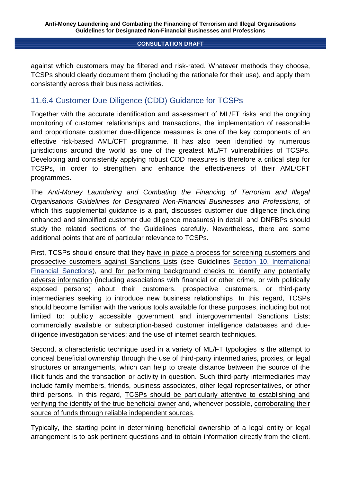against which customers may be filtered and risk-rated. Whatever methods they choose, TCSPs should clearly document them (including the rationale for their use), and apply them consistently across their business activities.

# 11.6.4 Customer Due Diligence (CDD) Guidance for TCSPs

Together with the accurate identification and assessment of ML/FT risks and the ongoing monitoring of customer relationships and transactions, the implementation of reasonable and proportionate customer due-diligence measures is one of the key components of an effective risk-based AML/CFT programme. It has also been identified by numerous jurisdictions around the world as one of the greatest ML/FT vulnerabilities of TCSPs. Developing and consistently applying robust CDD measures is therefore a critical step for TCSPs, in order to strengthen and enhance the effectiveness of their AML/CFT programmes.

The *Anti-Money Laundering and Combating the Financing of Terrorism and Illegal Organisations Guidelines for Designated Non-Financial Businesses and Professions*, of which this supplemental quidance is a part, discusses customer due diligence (including enhanced and simplified customer due diligence measures) in detail, and DNFBPs should study the related sections of the Guidelines carefully. Nevertheless, there are some additional points that are of particular relevance to TCSPs.

First, TCSPs should ensure that they have in place a process for screening customers and prospective customers against Sanctions Lists (see Guidelines Section 10, International Financial Sanctions), and for performing background checks to identify any potentially adverse information (including associations with financial or other crime, or with politically exposed persons) about their customers, prospective customers, or third-party intermediaries seeking to introduce new business relationships. In this regard, TCSPs should become familiar with the various tools available for these purposes, including but not limited to: publicly accessible government and intergovernmental Sanctions Lists; commercially available or subscription-based customer intelligence databases and duediligence investigation services; and the use of internet search techniques.

Second, a characteristic technique used in a variety of ML/FT typologies is the attempt to conceal beneficial ownership through the use of third-party intermediaries, proxies, or legal structures or arrangements, which can help to create distance between the source of the illicit funds and the transaction or activity in question. Such third-party intermediaries may include family members, friends, business associates, other legal representatives, or other third persons. In this regard, TCSPs should be particularly attentive to establishing and verifying the identity of the true beneficial owner and, whenever possible, corroborating their source of funds through reliable independent sources.

Typically, the starting point in determining beneficial ownership of a legal entity or legal arrangement is to ask pertinent questions and to obtain information directly from the client.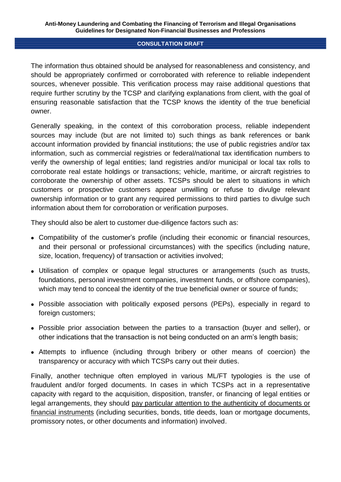The information thus obtained should be analysed for reasonableness and consistency, and should be appropriately confirmed or corroborated with reference to reliable independent sources, whenever possible. This verification process may raise additional questions that require further scrutiny by the TCSP and clarifying explanations from client, with the goal of ensuring reasonable satisfaction that the TCSP knows the identity of the true beneficial owner.

Generally speaking, in the context of this corroboration process, reliable independent sources may include (but are not limited to) such things as bank references or bank account information provided by financial institutions; the use of public registries and/or tax information, such as commercial registries or federal/national tax identification numbers to verify the ownership of legal entities; land registries and/or municipal or local tax rolls to corroborate real estate holdings or transactions; vehicle, maritime, or aircraft registries to corroborate the ownership of other assets. TCSPs should be alert to situations in which customers or prospective customers appear unwilling or refuse to divulge relevant ownership information or to grant any required permissions to third parties to divulge such information about them for corroboration or verification purposes.

They should also be alert to customer due-diligence factors such as:

- Compatibility of the customer's profile (including their economic or financial resources, and their personal or professional circumstances) with the specifics (including nature, size, location, frequency) of transaction or activities involved;
- Utilisation of complex or opaque legal structures or arrangements (such as trusts, foundations, personal investment companies, investment funds, or offshore companies), which may tend to conceal the identity of the true beneficial owner or source of funds;
- Possible association with politically exposed persons (PEPs), especially in regard to foreign customers;
- Possible prior association between the parties to a transaction (buyer and seller), or other indications that the transaction is not being conducted on an arm's length basis;
- Attempts to influence (including through bribery or other means of coercion) the transparency or accuracy with which TCSPs carry out their duties.

Finally, another technique often employed in various ML/FT typologies is the use of fraudulent and/or forged documents. In cases in which TCSPs act in a representative capacity with regard to the acquisition, disposition, transfer, or financing of legal entities or legal arrangements, they should pay particular attention to the authenticity of documents or financial instruments (including securities, bonds, title deeds, loan or mortgage documents, promissory notes, or other documents and information) involved.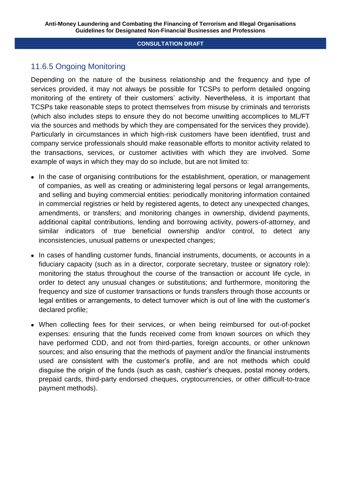# 11.6.5 Ongoing Monitoring

Depending on the nature of the business relationship and the frequency and type of services provided, it may not always be possible for TCSPs to perform detailed ongoing monitoring of the entirety of their customers' activity. Nevertheless, it is important that TCSPs take reasonable steps to protect themselves from misuse by criminals and terrorists (which also includes steps to ensure they do not become unwitting accomplices to ML/FT via the sources and methods by which they are compensated for the services they provide). Particularly in circumstances in which high-risk customers have been identified, trust and company service professionals should make reasonable efforts to monitor activity related to the transactions, services, or customer activities with which they are involved. Some example of ways in which they may do so include, but are not limited to:

- In the case of organising contributions for the establishment, operation, or management of companies, as well as creating or administering legal persons or legal arrangements, and selling and buying commercial entities: periodically monitoring information contained in commercial registries or held by registered agents, to detect any unexpected changes, amendments, or transfers; and monitoring changes in ownership, dividend payments, additional capital contributions, lending and borrowing activity, powers-of-attorney, and similar indicators of true beneficial ownership and/or control, to detect any inconsistencies, unusual patterns or unexpected changes;
- In cases of handling customer funds, financial instruments, documents, or accounts in a fiduciary capacity (such as in a director, corporate secretary, trustee or signatory role): monitoring the status throughout the course of the transaction or account life cycle, in order to detect any unusual changes or substitutions; and furthermore, monitoring the frequency and size of customer transactions or funds transfers through those accounts or legal entities or arrangements, to detect turnover which is out of line with the customer's declared profile;
- When collecting fees for their services, or when being reimbursed for out-of-pocket expenses: ensuring that the funds received come from known sources on which they have performed CDD, and not from third-parties, foreign accounts, or other unknown sources; and also ensuring that the methods of payment and/or the financial instruments used are consistent with the customer's profile, and are not methods which could disguise the origin of the funds (such as cash, cashier's cheques, postal money orders, prepaid cards, third-party endorsed cheques, cryptocurrencies, or other difficult-to-trace payment methods).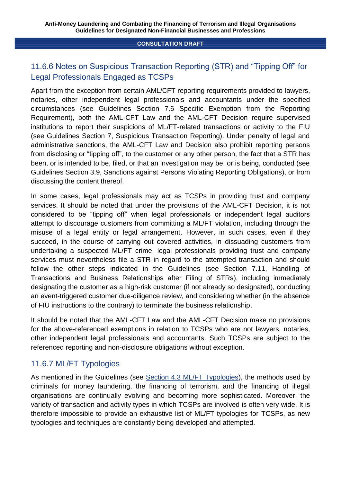# 11.6.6 Notes on Suspicious Transaction Reporting (STR) and "Tipping Off" for Legal Professionals Engaged as TCSPs

Apart from the exception from certain AML/CFT reporting requirements provided to lawyers, notaries, other independent legal professionals and accountants under the specified circumstances (see Guidelines Section 7.6 Specific Exemption from the Reporting Requirement), both the AML-CFT Law and the AML-CFT Decision require supervised institutions to report their suspicions of ML/FT-related transactions or activity to the FIU (see Guidelines Section 7, Suspicious Transaction Reporting). Under penalty of legal and administrative sanctions, the AML-CFT Law and Decision also prohibit reporting persons from disclosing or "tipping off", to the customer or any other person, the fact that a STR has been, or is intended to be, filed, or that an investigation may be, or is being, conducted (see Guidelines Section 3.9, Sanctions against Persons Violating Reporting Obligations), or from discussing the content thereof.

In some cases, legal professionals may act as TCSPs in providing trust and company services. It should be noted that under the provisions of the AML-CFT Decision, it is not considered to be "tipping off" when legal professionals or independent legal auditors attempt to discourage customers from committing a ML/FT violation, including through the misuse of a legal entity or legal arrangement. However, in such cases, even if they succeed, in the course of carrying out covered activities, in dissuading customers from undertaking a suspected ML/FT crime, legal professionals providing trust and company services must nevertheless file a STR in regard to the attempted transaction and should follow the other steps indicated in the Guidelines (see Section 7.11, Handling of Transactions and Business Relationships after Filing of STRs), including immediately designating the customer as a high-risk customer (if not already so designated), conducting an event-triggered customer due-diligence review, and considering whether (in the absence of FIU instructions to the contrary) to terminate the business relationship.

It should be noted that the AML-CFT Law and the AML-CFT Decision make no provisions for the above-referenced exemptions in relation to TCSPs who are not lawyers, notaries, other independent legal professionals and accountants. Such TCSPs are subject to the referenced reporting and non-disclosure obligations without exception.

# 11.6.7 ML/FT Typologies

As mentioned in the Guidelines (see Section 4.3 ML/FT Typologies), the methods used by criminals for money laundering, the financing of terrorism, and the financing of illegal organisations are continually evolving and becoming more sophisticated. Moreover, the variety of transaction and activity types in which TCSPs are involved is often very wide. It is therefore impossible to provide an exhaustive list of ML/FT typologies for TCSPs, as new typologies and techniques are constantly being developed and attempted.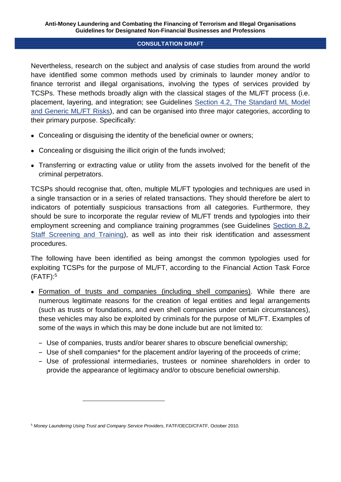Nevertheless, research on the subject and analysis of case studies from around the world have identified some common methods used by criminals to launder money and/or to finance terrorist and illegal organisations, involving the types of services provided by TCSPs. These methods broadly align with the classical stages of the ML/FT process (i.e. placement, layering, and integration; see Guidelines Section 4.2, The Standard ML Model and Generic ML/FT Risks), and can be organised into three major categories, according to their primary purpose. Specifically:

- Concealing or disguising the identity of the beneficial owner or owners;
- Concealing or disguising the illicit origin of the funds involved;
- Transferring or extracting value or utility from the assets involved for the benefit of the criminal perpetrators.

TCSPs should recognise that, often, multiple ML/FT typologies and techniques are used in a single transaction or in a series of related transactions. They should therefore be alert to indicators of potentially suspicious transactions from all categories. Furthermore, they should be sure to incorporate the regular review of ML/FT trends and typologies into their employment screening and compliance training programmes (see Guidelines Section 8.2, Staff Screening and Training), as well as into their risk identification and assessment procedures.

The following have been identified as being amongst the common typologies used for exploiting TCSPs for the purpose of ML/FT, according to the Financial Action Task Force (FATF): 5

- Formation of trusts and companies (including shell companies). While there are numerous legitimate reasons for the creation of legal entities and legal arrangements (such as trusts or foundations, and even shell companies under certain circumstances), these vehicles may also be exploited by criminals for the purpose of ML/FT. Examples of some of the ways in which this may be done include but are not limited to:
	- ‒ Use of companies, trusts and/or bearer shares to obscure beneficial ownership;
	- ‒ Use of shell companies\* for the placement and/or layering of the proceeds of crime;
	- ‒ Use of professional intermediaries, trustees or nominee shareholders in order to provide the appearance of legitimacy and/or to obscure beneficial ownership.

<sup>5</sup> *Money Laundering Using Trust and Company Service Providers*, FATF/OECD/CFATF, October 2010.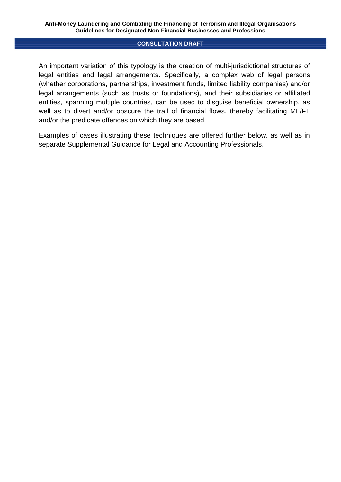An important variation of this typology is the creation of multi-jurisdictional structures of legal entities and legal arrangements. Specifically, a complex web of legal persons (whether corporations, partnerships, investment funds, limited liability companies) and/or legal arrangements (such as trusts or foundations), and their subsidiaries or affiliated entities, spanning multiple countries, can be used to disguise beneficial ownership, as well as to divert and/or obscure the trail of financial flows, thereby facilitating ML/FT and/or the predicate offences on which they are based.

Examples of cases illustrating these techniques are offered further below, as well as in separate Supplemental Guidance for Legal and Accounting Professionals.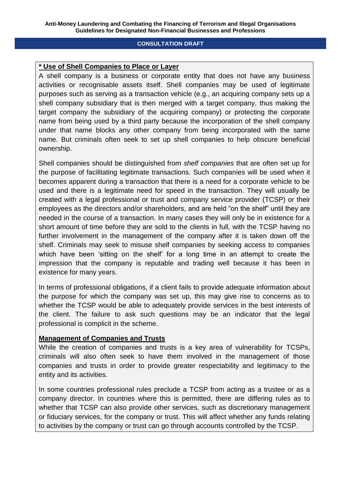## **\* Use of Shell Companies to Place or Layer**

A shell company is a business or corporate entity that does not have any business activities or recognisable assets itself. Shell companies may be used of legitimate purposes such as serving as a transaction vehicle (e.g., an acquiring company sets up a shell company subsidiary that is then merged with a target company, thus making the target company the subsidiary of the acquiring company) or protecting the corporate name from being used by a third party because the incorporation of the shell company under that name blocks any other company from being incorporated with the same name. But criminals often seek to set up shell companies to help obscure beneficial ownership.

Shell companies should be distinguished from *shelf companies* that are often set up for the purpose of facilitating legitimate transactions. Such companies will be used when it becomes apparent during a transaction that there is a need for a corporate vehicle to be used and there is a legitimate need for speed in the transaction. They will usually be created with a legal professional or trust and company service provider (TCSP) or their employees as the directors and/or shareholders, and are held "on the shelf" until they are needed in the course of a transaction. In many cases they will only be in existence for a short amount of time before they are sold to the clients in full, with the TCSP having no further involvement in the management of the company after it is taken down off the shelf. Criminals may seek to misuse shelf companies by seeking access to companies which have been 'sitting on the shelf' for a long time in an attempt to create the impression that the company is reputable and trading well because it has been in existence for many years.

In terms of professional obligations, if a client fails to provide adequate information about the purpose for which the company was set up, this may give rise to concerns as to whether the TCSP would be able to adequately provide services in the best interests of the client. The failure to ask such questions may be an indicator that the legal professional is complicit in the scheme.

## **Management of Companies and Trusts**

While the creation of companies and trusts is a key area of vulnerability for TCSPs, criminals will also often seek to have them involved in the management of those companies and trusts in order to provide greater respectability and legitimacy to the entity and its activities.

In some countries professional rules preclude a TCSP from acting as a trustee or as a company director. In countries where this is permitted, there are differing rules as to whether that TCSP can also provide other services, such as discretionary management or fiduciary services, for the company or trust. This will affect whether any funds relating to activities by the company or trust can go through accounts controlled by the TCSP.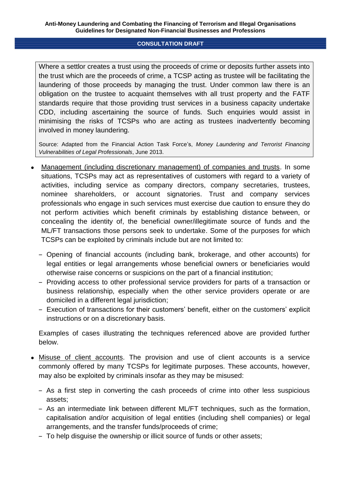Where a settlor creates a trust using the proceeds of crime or deposits further assets into the trust which are the proceeds of crime, a TCSP acting as trustee will be facilitating the laundering of those proceeds by managing the trust. Under common law there is an obligation on the trustee to acquaint themselves with all trust property and the FATF standards require that those providing trust services in a business capacity undertake CDD, including ascertaining the source of funds. Such enquiries would assist in minimising the risks of TCSPs who are acting as trustees inadvertently becoming involved in money laundering.

Source: Adapted from the Financial Action Task Force's, *Money Laundering and Terrorist Financing Vulnerabilities of Legal Professionals*, June 2013.

- Management (including discretionary management) of companies and trusts. In some situations, TCSPs may act as representatives of customers with regard to a variety of activities, including service as company directors, company secretaries, trustees, nominee shareholders, or account signatories. Trust and company services professionals who engage in such services must exercise due caution to ensure they do not perform activities which benefit criminals by establishing distance between, or concealing the identity of, the beneficial owner/illegitimate source of funds and the ML/FT transactions those persons seek to undertake. Some of the purposes for which TCSPs can be exploited by criminals include but are not limited to:
	- ‒ Opening of financial accounts (including bank, brokerage, and other accounts) for legal entities or legal arrangements whose beneficial owners or beneficiaries would otherwise raise concerns or suspicions on the part of a financial institution;
	- ‒ Providing access to other professional service providers for parts of a transaction or business relationship, especially when the other service providers operate or are domiciled in a different legal jurisdiction;
	- ‒ Execution of transactions for their customers' benefit, either on the customers' explicit instructions or on a discretionary basis.

Examples of cases illustrating the techniques referenced above are provided further below.

- Misuse of client accounts. The provision and use of client accounts is a service commonly offered by many TCSPs for legitimate purposes. These accounts, however, may also be exploited by criminals insofar as they may be misused:
	- ‒ As a first step in converting the cash proceeds of crime into other less suspicious assets;
	- ‒ As an intermediate link between different ML/FT techniques, such as the formation, capitalisation and/or acquisition of legal entities (including shell companies) or legal arrangements, and the transfer funds/proceeds of crime;
	- ‒ To help disguise the ownership or illicit source of funds or other assets;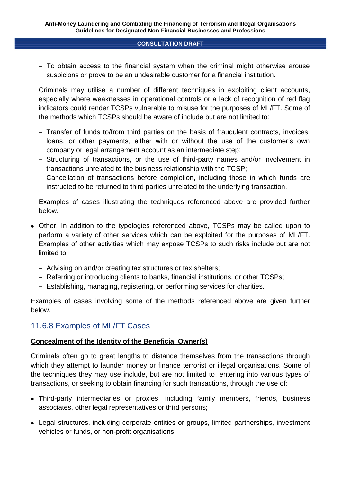‒ To obtain access to the financial system when the criminal might otherwise arouse suspicions or prove to be an undesirable customer for a financial institution.

Criminals may utilise a number of different techniques in exploiting client accounts, especially where weaknesses in operational controls or a lack of recognition of red flag indicators could render TCSPs vulnerable to misuse for the purposes of ML/FT. Some of the methods which TCSPs should be aware of include but are not limited to:

- ‒ Transfer of funds to/from third parties on the basis of fraudulent contracts, invoices, loans, or other payments, either with or without the use of the customer's own company or legal arrangement account as an intermediate step;
- ‒ Structuring of transactions, or the use of third-party names and/or involvement in transactions unrelated to the business relationship with the TCSP;
- ‒ Cancellation of transactions before completion, including those in which funds are instructed to be returned to third parties unrelated to the underlying transaction.

Examples of cases illustrating the techniques referenced above are provided further below.

- Other. In addition to the typologies referenced above, TCSPs may be called upon to perform a variety of other services which can be exploited for the purposes of ML/FT. Examples of other activities which may expose TCSPs to such risks include but are not limited to:
	- Advising on and/or creating tax structures or tax shelters;
	- ‒ Referring or introducing clients to banks, financial institutions, or other TCSPs;
	- ‒ Establishing, managing, registering, or performing services for charities.

Examples of cases involving some of the methods referenced above are given further below.

# 11.6.8 Examples of ML/FT Cases

## **Concealment of the Identity of the Beneficial Owner(s)**

Criminals often go to great lengths to distance themselves from the transactions through which they attempt to launder money or finance terrorist or illegal organisations. Some of the techniques they may use include, but are not limited to, entering into various types of transactions, or seeking to obtain financing for such transactions, through the use of:

- Third-party intermediaries or proxies, including family members, friends, business associates, other legal representatives or third persons;
- Legal structures, including corporate entities or groups, limited partnerships, investment vehicles or funds, or non-profit organisations;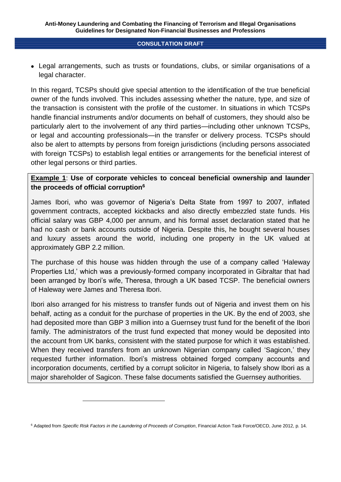• Legal arrangements, such as trusts or foundations, clubs, or similar organisations of a legal character.

In this regard, TCSPs should give special attention to the identification of the true beneficial owner of the funds involved. This includes assessing whether the nature, type, and size of the transaction is consistent with the profile of the customer. In situations in which TCSPs handle financial instruments and/or documents on behalf of customers, they should also be particularly alert to the involvement of any third parties—including other unknown TCSPs, or legal and accounting professionals—in the transfer or delivery process. TCSPs should also be alert to attempts by persons from foreign jurisdictions (including persons associated with foreign TCSPs) to establish legal entities or arrangements for the beneficial interest of other legal persons or third parties.

## **Example 1**: **Use of corporate vehicles to conceal beneficial ownership and launder the proceeds of official corruption<sup>6</sup>**

James Ibori, who was governor of Nigeria's Delta State from 1997 to 2007, inflated government contracts, accepted kickbacks and also directly embezzled state funds. His official salary was GBP 4,000 per annum, and his formal asset declaration stated that he had no cash or bank accounts outside of Nigeria. Despite this, he bought several houses and luxury assets around the world, including one property in the UK valued at approximately GBP 2.2 million.

The purchase of this house was hidden through the use of a company called 'Haleway Properties Ltd,' which was a previously-formed company incorporated in Gibraltar that had been arranged by Ibori's wife, Theresa, through a UK based TCSP. The beneficial owners of Haleway were James and Theresa Ibori.

Ibori also arranged for his mistress to transfer funds out of Nigeria and invest them on his behalf, acting as a conduit for the purchase of properties in the UK. By the end of 2003, she had deposited more than GBP 3 million into a Guernsey trust fund for the benefit of the Ibori family. The administrators of the trust fund expected that money would be deposited into the account from UK banks, consistent with the stated purpose for which it was established. When they received transfers from an unknown Nigerian company called 'Sagicon,' they requested further information. Ibori's mistress obtained forged company accounts and incorporation documents, certified by a corrupt solicitor in Nigeria, to falsely show Ibori as a major shareholder of Sagicon. These false documents satisfied the Guernsey authorities.

<sup>6</sup> Adapted from *Specific Risk Factors in the Laundering of Proceeds of Corruption*, Financial Action Task Force/OECD, June 2012, p. 14.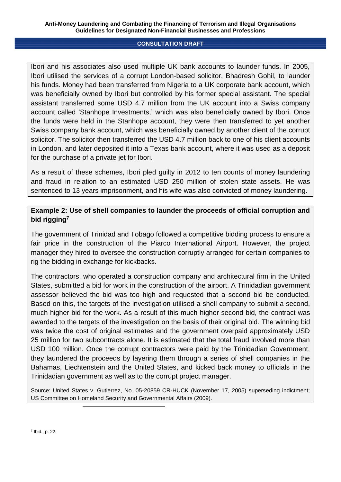#### **Anti-Money Laundering and Combating the Financing of Terrorism and Illegal Organisations Guidelines for Designated Non-Financial Businesses and Professions**

#### **CONSULTATION DRAFT**

Ibori and his associates also used multiple UK bank accounts to launder funds. In 2005, Ibori utilised the services of a corrupt London-based solicitor, Bhadresh Gohil, to launder his funds. Money had been transferred from Nigeria to a UK corporate bank account, which was beneficially owned by Ibori but controlled by his former special assistant. The special assistant transferred some USD 4.7 million from the UK account into a Swiss company account called 'Stanhope Investments,' which was also beneficially owned by Ibori. Once the funds were held in the Stanhope account, they were then transferred to yet another Swiss company bank account, which was beneficially owned by another client of the corrupt solicitor. The solicitor then transferred the USD 4.7 million back to one of his client accounts in London, and later deposited it into a Texas bank account, where it was used as a deposit for the purchase of a private jet for Ibori.

As a result of these schemes, Ibori pled guilty in 2012 to ten counts of money laundering and fraud in relation to an estimated USD 250 million of stolen state assets. He was sentenced to 13 years imprisonment, and his wife was also convicted of money laundering.

## **Example 2: Use of shell companies to launder the proceeds of official corruption and bid rigging<sup>7</sup>**

The government of Trinidad and Tobago followed a competitive bidding process to ensure a fair price in the construction of the Piarco International Airport. However, the project manager they hired to oversee the construction corruptly arranged for certain companies to rig the bidding in exchange for kickbacks.

The contractors, who operated a construction company and architectural firm in the United States, submitted a bid for work in the construction of the airport. A Trinidadian government assessor believed the bid was too high and requested that a second bid be conducted. Based on this, the targets of the investigation utilised a shell company to submit a second, much higher bid for the work. As a result of this much higher second bid, the contract was awarded to the targets of the investigation on the basis of their original bid. The winning bid was twice the cost of original estimates and the government overpaid approximately USD 25 million for two subcontracts alone. It is estimated that the total fraud involved more than USD 100 million. Once the corrupt contractors were paid by the Trinidadian Government, they laundered the proceeds by layering them through a series of shell companies in the Bahamas, Liechtenstein and the United States, and kicked back money to officials in the Trinidadian government as well as to the corrupt project manager.

Source: United States v. Gutierrez, No. 05-20859 CR-HUCK (November 17, 2005) superseding indictment; US Committee on Homeland Security and Governmental Affairs (2009).

 $\overline{a}$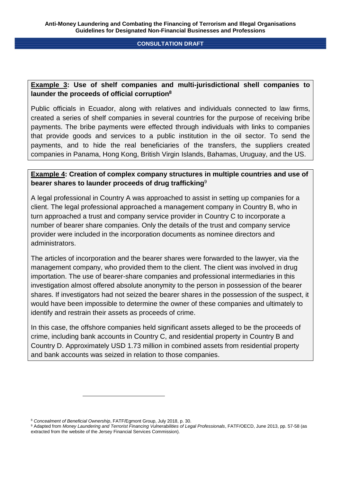## **Example 3: Use of shelf companies and multi-jurisdictional shell companies to launder the proceeds of official corruption<sup>8</sup>**

Public officials in Ecuador, along with relatives and individuals connected to law firms, created a series of shelf companies in several countries for the purpose of receiving bribe payments. The bribe payments were effected through individuals with links to companies that provide goods and services to a public institution in the oil sector. To send the payments, and to hide the real beneficiaries of the transfers, the suppliers created companies in Panama, Hong Kong, British Virgin Islands, Bahamas, Uruguay, and the US.

## **Example 4: Creation of complex company structures in multiple countries and use of bearer shares to launder proceeds of drug trafficking**<sup>9</sup>

A legal professional in Country A was approached to assist in setting up companies for a client. The legal professional approached a management company in Country B, who in turn approached a trust and company service provider in Country C to incorporate a number of bearer share companies. Only the details of the trust and company service provider were included in the incorporation documents as nominee directors and administrators.

The articles of incorporation and the bearer shares were forwarded to the lawyer, via the management company, who provided them to the client. The client was involved in drug importation. The use of bearer-share companies and professional intermediaries in this investigation almost offered absolute anonymity to the person in possession of the bearer shares. If investigators had not seized the bearer shares in the possession of the suspect, it would have been impossible to determine the owner of these companies and ultimately to identify and restrain their assets as proceeds of crime.

In this case, the offshore companies held significant assets alleged to be the proceeds of crime, including bank accounts in Country C, and residential property in Country B and Country D. Approximately USD 1.73 million in combined assets from residential property and bank accounts was seized in relation to those companies.

<sup>8</sup> *Concealment of Beneficial Ownership*, FATF/Egmont Group, July 2018, p. 30.

<sup>&</sup>lt;sup>9</sup> Adapted from *Money Laundering and Terrorist Financing Vulnerabilities of Legal Professionals, FATF/OECD, June 2013, pp. 57-58 (as* extracted from the website of the Jersey Financial Services Commission).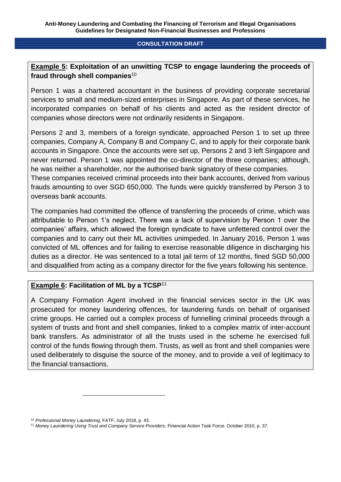## **Example 5: Exploitation of an unwitting TCSP to engage laundering the proceeds of fraud through shell companies**<sup>10</sup>

Person 1 was a chartered accountant in the business of providing corporate secretarial services to small and medium-sized enterprises in Singapore. As part of these services, he incorporated companies on behalf of his clients and acted as the resident director of companies whose directors were not ordinarily residents in Singapore.

Persons 2 and 3, members of a foreign syndicate, approached Person 1 to set up three companies, Company A, Company B and Company C, and to apply for their corporate bank accounts in Singapore. Once the accounts were set up, Persons 2 and 3 left Singapore and never returned. Person 1 was appointed the co-director of the three companies; although, he was neither a shareholder, nor the authorised bank signatory of these companies. These companies received criminal proceeds into their bank accounts, derived from various frauds amounting to over SGD 650,000. The funds were quickly transferred by Person 3 to

overseas bank accounts.

The companies had committed the offence of transferring the proceeds of crime, which was attributable to Person 1's neglect. There was a lack of supervision by Person 1 over the companies' affairs, which allowed the foreign syndicate to have unfettered control over the companies and to carry out their ML activities unimpeded. In January 2016, Person 1 was convicted of ML offences and for failing to exercise reasonable diligence in discharging his duties as a director. He was sentenced to a total jail term of 12 months, fined SGD 50,000 and disqualified from acting as a company director for the five years following his sentence.

## **Example 6: Facilitation of ML by a TCSP**<sup>11</sup>

A Company Formation Agent involved in the financial services sector in the UK was prosecuted for money laundering offences, for laundering funds on behalf of organised crime groups. He carried out a complex process of funnelling criminal proceeds through a system of trusts and front and shell companies, linked to a complex matrix of inter-account bank transfers. As administrator of all the trusts used in the scheme he exercised full control of the funds flowing through them. Trusts, as well as front and shell companies were used deliberately to disguise the source of the money, and to provide a veil of legitimacy to the financial transactions.

<sup>10</sup> *Professional Money Laundering*, FATF, July 2018, p. 43.

<sup>11</sup> *Money Laundering Using Trust and Company Service Providers*, Financial Action Task Force, October 2010, p. 37.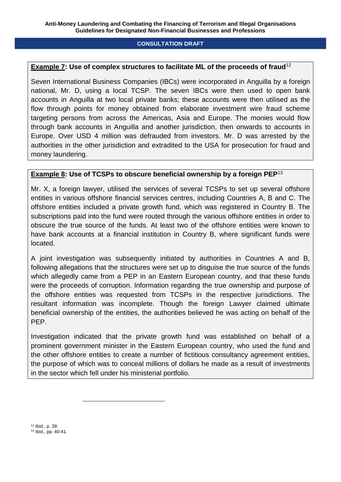## **Example 7: Use of complex structures to facilitate ML of the proceeds of fraud**<sup>12</sup>

Seven International Business Companies (IBCs) were incorporated in Anguilla by a foreign national, Mr. D, using a local TCSP. The seven IBCs were then used to open bank accounts in Anguilla at two local private banks; these accounts were then utilised as the flow through points for money obtained from elaborate investment wire fraud scheme targeting persons from across the Americas, Asia and Europe. The monies would flow through bank accounts in Anguilla and another jurisdiction, then onwards to accounts in Europe. Over USD 4 million was defrauded from investors. Mr. D was arrested by the authorities in the other jurisdiction and extradited to the USA for prosecution for fraud and money laundering.

## **Example 8: Use of TCSPs to obscure beneficial ownership by a foreign PEP**<sup>13</sup>

Mr. X, a foreign lawyer, utilised the services of several TCSPs to set up several offshore entities in various offshore financial services centres, including Countries A, B and C. The offshore entities included a private growth fund, which was registered in Country B. The subscriptions paid into the fund were routed through the various offshore entities in order to obscure the true source of the funds. At least two of the offshore entities were known to have bank accounts at a financial institution in Country B, where significant funds were located.

A joint investigation was subsequently initiated by authorities in Countries A and B, following allegations that the structures were set up to disguise the true source of the funds which allegedly came from a PEP in an Eastern European country, and that these funds were the proceeds of corruption. Information regarding the true ownership and purpose of the offshore entities was requested from TCSPs in the respective jurisdictions. The resultant information was incomplete. Though the foreign Lawyer claimed ultimate beneficial ownership of the entities, the authorities believed he was acting on behalf of the PEP.

Investigation indicated that the private growth fund was established on behalf of a prominent government minister in the Eastern European country, who used the fund and the other offshore entities to create a number of fictitious consultancy agreement entities, the purpose of which was to conceal millions of dollars he made as a result of investments in the sector which fell under his ministerial portfolio.

<sup>12</sup> Ibid., p. 39. <sup>13</sup> Ibid., pp. 40-41.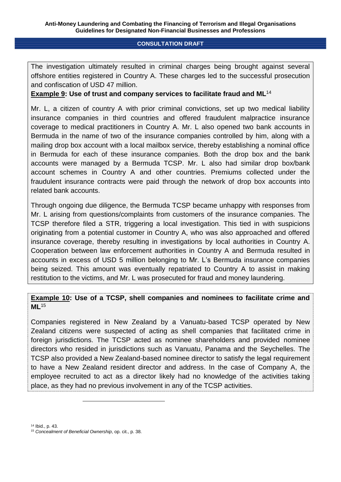The investigation ultimately resulted in criminal charges being brought against several offshore entities registered in Country A. These charges led to the successful prosecution and confiscation of USD 47 million.

**Example 9: Use of trust and company services to facilitate fraud and ML**<sup>14</sup>

Mr. L, a citizen of country A with prior criminal convictions, set up two medical liability insurance companies in third countries and offered fraudulent malpractice insurance coverage to medical practitioners in Country A. Mr. L also opened two bank accounts in Bermuda in the name of two of the insurance companies controlled by him, along with a mailing drop box account with a local mailbox service, thereby establishing a nominal office in Bermuda for each of these insurance companies. Both the drop box and the bank accounts were managed by a Bermuda TCSP. Mr. L also had similar drop box/bank account schemes in Country A and other countries. Premiums collected under the fraudulent insurance contracts were paid through the network of drop box accounts into related bank accounts.

Through ongoing due diligence, the Bermuda TCSP became unhappy with responses from Mr. L arising from questions/complaints from customers of the insurance companies. The TCSP therefore filed a STR, triggering a local investigation. This tied in with suspicions originating from a potential customer in Country A, who was also approached and offered insurance coverage, thereby resulting in investigations by local authorities in Country A. Cooperation between law enforcement authorities in Country A and Bermuda resulted in accounts in excess of USD 5 million belonging to Mr. L's Bermuda insurance companies being seized. This amount was eventually repatriated to Country A to assist in making restitution to the victims, and Mr. L was prosecuted for fraud and money laundering.

## **Example 10: Use of a TCSP, shell companies and nominees to facilitate crime and ML**<sup>15</sup>

Companies registered in New Zealand by a Vanuatu-based TCSP operated by New Zealand citizens were suspected of acting as shell companies that facilitated crime in foreign jurisdictions. The TCSP acted as nominee shareholders and provided nominee directors who resided in jurisdictions such as Vanuatu, Panama and the Seychelles. The TCSP also provided a New Zealand-based nominee director to satisfy the legal requirement to have a New Zealand resident director and address. In the case of Company A, the employee recruited to act as a director likely had no knowledge of the activities taking place, as they had no previous involvement in any of the TCSP activities.

<sup>14</sup> Ibid., p. 43.

<sup>15</sup> *Concealment of Beneficial Ownership*, op. cit., p. 38.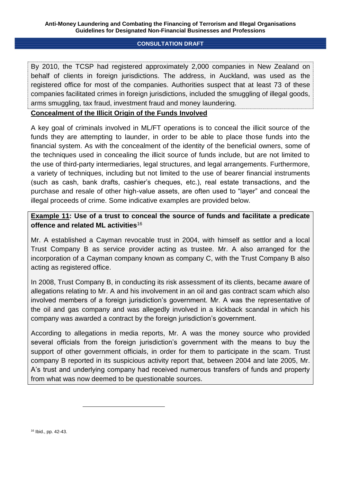#### **Anti-Money Laundering and Combating the Financing of Terrorism and Illegal Organisations Guidelines for Designated Non-Financial Businesses and Professions**

## **CONSULTATION DRAFT**

By 2010, the TCSP had registered approximately 2,000 companies in New Zealand on behalf of clients in foreign jurisdictions. The address, in Auckland, was used as the registered office for most of the companies. Authorities suspect that at least 73 of these companies facilitated crimes in foreign jurisdictions, included the smuggling of illegal goods, arms smuggling, tax fraud, investment fraud and money laundering.

## **Concealment of the Illicit Origin of the Funds Involved**

A key goal of criminals involved in ML/FT operations is to conceal the illicit source of the funds they are attempting to launder, in order to be able to place those funds into the financial system. As with the concealment of the identity of the beneficial owners, some of the techniques used in concealing the illicit source of funds include, but are not limited to the use of third-party intermediaries, legal structures, and legal arrangements. Furthermore, a variety of techniques, including but not limited to the use of bearer financial instruments (such as cash, bank drafts, cashier's cheques, etc.), real estate transactions, and the purchase and resale of other high-value assets, are often used to "layer" and conceal the illegal proceeds of crime. Some indicative examples are provided below.

## **Example 11: Use of a trust to conceal the source of funds and facilitate a predicate offence and related ML activities**<sup>16</sup>

Mr. A established a Cayman revocable trust in 2004, with himself as settlor and a local Trust Company B as service provider acting as trustee. Mr. A also arranged for the incorporation of a Cayman company known as company C, with the Trust Company B also acting as registered office.

In 2008, Trust Company B, in conducting its risk assessment of its clients, became aware of allegations relating to Mr. A and his involvement in an oil and gas contract scam which also involved members of a foreign jurisdiction's government. Mr. A was the representative of the oil and gas company and was allegedly involved in a kickback scandal in which his company was awarded a contract by the foreign jurisdiction's government.

According to allegations in media reports, Mr. A was the money source who provided several officials from the foreign jurisdiction's government with the means to buy the support of other government officials, in order for them to participate in the scam. Trust company B reported in its suspicious activity report that, between 2004 and late 2005, Mr. A's trust and underlying company had received numerous transfers of funds and property from what was now deemed to be questionable sources.

<sup>16</sup> Ibid., pp. 42-43.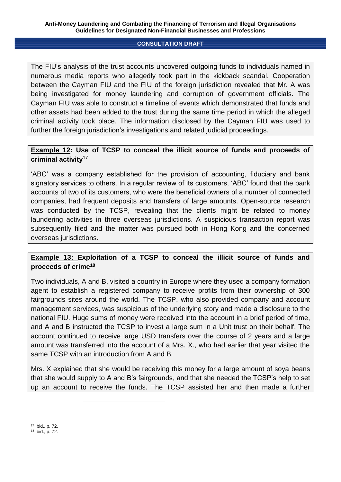The FIU's analysis of the trust accounts uncovered outgoing funds to individuals named in numerous media reports who allegedly took part in the kickback scandal. Cooperation between the Cayman FIU and the FIU of the foreign jurisdiction revealed that Mr. A was being investigated for money laundering and corruption of government officials. The Cayman FIU was able to construct a timeline of events which demonstrated that funds and other assets had been added to the trust during the same time period in which the alleged criminal activity took place. The information disclosed by the Cayman FIU was used to further the foreign jurisdiction's investigations and related judicial proceedings.

## **Example 12: Use of TCSP to conceal the illicit source of funds and proceeds of criminal activity**<sup>17</sup>

'ABC' was a company established for the provision of accounting, fiduciary and bank signatory services to others. In a regular review of its customers, 'ABC' found that the bank accounts of two of its customers, who were the beneficial owners of a number of connected companies, had frequent deposits and transfers of large amounts. Open-source research was conducted by the TCSP, revealing that the clients might be related to money laundering activities in three overseas jurisdictions. A suspicious transaction report was subsequently filed and the matter was pursued both in Hong Kong and the concerned overseas jurisdictions.

## **Example 13: Exploitation of a TCSP to conceal the illicit source of funds and proceeds of crime<sup>18</sup>**

Two individuals, A and B, visited a country in Europe where they used a company formation agent to establish a registered company to receive profits from their ownership of 300 fairgrounds sites around the world. The TCSP, who also provided company and account management services, was suspicious of the underlying story and made a disclosure to the national FIU. Huge sums of money were received into the account in a brief period of time, and A and B instructed the TCSP to invest a large sum in a Unit trust on their behalf. The account continued to receive large USD transfers over the course of 2 years and a large amount was transferred into the account of a Mrs. X., who had earlier that year visited the same TCSP with an introduction from A and B.

Mrs. X explained that she would be receiving this money for a large amount of soya beans that she would supply to A and B's fairgrounds, and that she needed the TCSP's help to set up an account to receive the funds. The TCSP assisted her and then made a further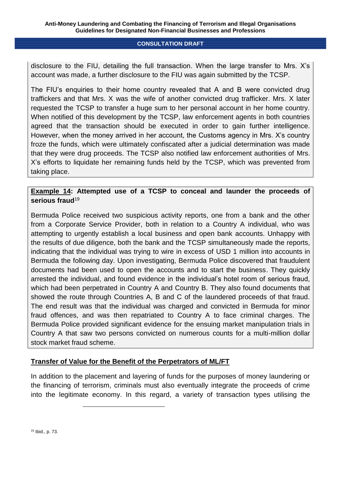disclosure to the FIU, detailing the full transaction. When the large transfer to Mrs. X's account was made, a further disclosure to the FIU was again submitted by the TCSP.

The FIU's enquiries to their home country revealed that A and B were convicted drug traffickers and that Mrs. X was the wife of another convicted drug trafficker. Mrs. X later requested the TCSP to transfer a huge sum to her personal account in her home country. When notified of this development by the TCSP, law enforcement agents in both countries agreed that the transaction should be executed in order to gain further intelligence. However, when the money arrived in her account, the Customs agency in Mrs. X's country froze the funds, which were ultimately confiscated after a judicial determination was made that they were drug proceeds. The TCSP also notified law enforcement authorities of Mrs. X's efforts to liquidate her remaining funds held by the TCSP, which was prevented from taking place.

## **Example 14: Attempted use of a TCSP to conceal and launder the proceeds of serious fraud**<sup>19</sup>

Bermuda Police received two suspicious activity reports, one from a bank and the other from a Corporate Service Provider, both in relation to a Country A individual, who was attempting to urgently establish a local business and open bank accounts. Unhappy with the results of due diligence, both the bank and the TCSP simultaneously made the reports, indicating that the individual was trying to wire in excess of USD 1 million into accounts in Bermuda the following day. Upon investigating, Bermuda Police discovered that fraudulent documents had been used to open the accounts and to start the business. They quickly arrested the individual, and found evidence in the individual's hotel room of serious fraud, which had been perpetrated in Country A and Country B. They also found documents that showed the route through Countries A, B and C of the laundered proceeds of that fraud. The end result was that the individual was charged and convicted in Bermuda for minor fraud offences, and was then repatriated to Country A to face criminal charges. The Bermuda Police provided significant evidence for the ensuing market manipulation trials in Country A that saw two persons convicted on numerous counts for a multi-million dollar stock market fraud scheme.

## **Transfer of Value for the Benefit of the Perpetrators of ML/FT**

In addition to the placement and layering of funds for the purposes of money laundering or the financing of terrorism, criminals must also eventually integrate the proceeds of crime into the legitimate economy. In this regard, a variety of transaction types utilising the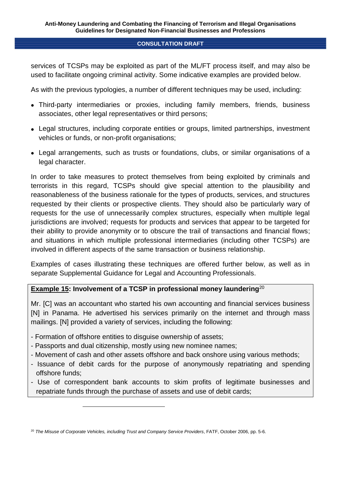services of TCSPs may be exploited as part of the ML/FT process itself, and may also be used to facilitate ongoing criminal activity. Some indicative examples are provided below.

As with the previous typologies, a number of different techniques may be used, including:

- Third-party intermediaries or proxies, including family members, friends, business associates, other legal representatives or third persons;
- Legal structures, including corporate entities or groups, limited partnerships, investment vehicles or funds, or non-profit organisations;
- Legal arrangements, such as trusts or foundations, clubs, or similar organisations of a legal character.

In order to take measures to protect themselves from being exploited by criminals and terrorists in this regard, TCSPs should give special attention to the plausibility and reasonableness of the business rationale for the types of products, services, and structures requested by their clients or prospective clients. They should also be particularly wary of requests for the use of unnecessarily complex structures, especially when multiple legal jurisdictions are involved; requests for products and services that appear to be targeted for their ability to provide anonymity or to obscure the trail of transactions and financial flows; and situations in which multiple professional intermediaries (including other TCSPs) are involved in different aspects of the same transaction or business relationship.

Examples of cases illustrating these techniques are offered further below, as well as in separate Supplemental Guidance for Legal and Accounting Professionals.

# **Example 15: Involvement of a TCSP in professional money laundering<sup>20</sup>**

Mr. [C] was an accountant who started his own accounting and financial services business [N] in Panama. He advertised his services primarily on the internet and through mass mailings. [N] provided a variety of services, including the following:

- Formation of offshore entities to disguise ownership of assets;

- Passports and dual citizenship, mostly using new nominee names;
- Movement of cash and other assets offshore and back onshore using various methods;
- Issuance of debit cards for the purpose of anonymously repatriating and spending offshore funds;
- Use of correspondent bank accounts to skim profits of legitimate businesses and repatriate funds through the purchase of assets and use of debit cards;

<sup>20</sup> *The Misuse of Corporate Vehicles, including Trust and Company Service Providers*, FATF, October 2006, pp. 5-6.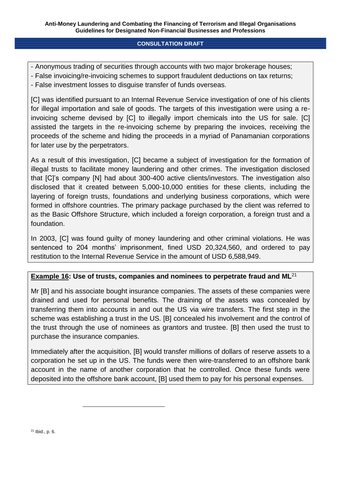- Anonymous trading of securities through accounts with two major brokerage houses;
- False invoicing/re-invoicing schemes to support fraudulent deductions on tax returns;
- False investment losses to disguise transfer of funds overseas.

[C] was identified pursuant to an Internal Revenue Service investigation of one of his clients for illegal importation and sale of goods. The targets of this investigation were using a reinvoicing scheme devised by [C] to illegally import chemicals into the US for sale. [C] assisted the targets in the re-invoicing scheme by preparing the invoices, receiving the proceeds of the scheme and hiding the proceeds in a myriad of Panamanian corporations for later use by the perpetrators.

As a result of this investigation, [C] became a subject of investigation for the formation of illegal trusts to facilitate money laundering and other crimes. The investigation disclosed that [C]'s company [N] had about 300-400 active clients/investors. The investigation also disclosed that it created between 5,000-10,000 entities for these clients, including the layering of foreign trusts, foundations and underlying business corporations, which were formed in offshore countries. The primary package purchased by the client was referred to as the Basic Offshore Structure, which included a foreign corporation, a foreign trust and a foundation.

In 2003, [C] was found quilty of money laundering and other criminal violations. He was sentenced to 204 months' imprisonment, fined USD 20,324,560, and ordered to pay restitution to the Internal Revenue Service in the amount of USD 6,588,949.

## **Example 16: Use of trusts, companies and nominees to perpetrate fraud and ML**<sup>21</sup>

Mr [B] and his associate bought insurance companies. The assets of these companies were drained and used for personal benefits. The draining of the assets was concealed by transferring them into accounts in and out the US via wire transfers. The first step in the scheme was establishing a trust in the US. [B] concealed his involvement and the control of the trust through the use of nominees as grantors and trustee. [B] then used the trust to purchase the insurance companies.

Immediately after the acquisition, [B] would transfer millions of dollars of reserve assets to a corporation he set up in the US. The funds were then wire-transferred to an offshore bank account in the name of another corporation that he controlled. Once these funds were deposited into the offshore bank account, [B] used them to pay for his personal expenses.

<sup>21</sup> Ibid., p. 6.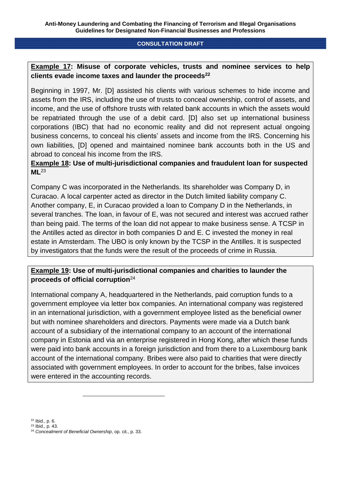## **Example 17: Misuse of corporate vehicles, trusts and nominee services to help clients evade income taxes and launder the proceeds<sup>22</sup>**

Beginning in 1997, Mr. [D] assisted his clients with various schemes to hide income and assets from the IRS, including the use of trusts to conceal ownership, control of assets, and income, and the use of offshore trusts with related bank accounts in which the assets would be repatriated through the use of a debit card. [D] also set up international business corporations (IBC) that had no economic reality and did not represent actual ongoing business concerns, to conceal his clients' assets and income from the IRS. Concerning his own liabilities, [D] opened and maintained nominee bank accounts both in the US and abroad to conceal his income from the IRS.

## **Example 18: Use of multi-jurisdictional companies and fraudulent loan for suspected ML**<sup>23</sup>

Company C was incorporated in the Netherlands. Its shareholder was Company D, in Curacao. A local carpenter acted as director in the Dutch limited liability company C. Another company, E, in Curacao provided a loan to Company D in the Netherlands, in several tranches. The loan, in favour of E, was not secured and interest was accrued rather than being paid. The terms of the loan did not appear to make business sense. A TCSP in the Antilles acted as director in both companies D and E. C invested the money in real estate in Amsterdam. The UBO is only known by the TCSP in the Antilles. It is suspected by investigators that the funds were the result of the proceeds of crime in Russia.

## **Example 19: Use of multi-jurisdictional companies and charities to launder the proceeds of official corruption**<sup>24</sup>

International company A, headquartered in the Netherlands, paid corruption funds to a government employee via letter box companies. An international company was registered in an international jurisdiction, with a government employee listed as the beneficial owner but with nominee shareholders and directors. Payments were made via a Dutch bank account of a subsidiary of the international company to an account of the international company in Estonia and via an enterprise registered in Hong Kong, after which these funds were paid into bank accounts in a foreign jurisdiction and from there to a Luxembourg bank account of the international company. Bribes were also paid to charities that were directly associated with government employees. In order to account for the bribes, false invoices were entered in the accounting records.

<sup>22</sup> Ibid., p. 6.

<sup>23</sup> Ibid., p. 43.

<sup>24</sup> *Concealment of Beneficial Ownership*, op. cit., p. 33.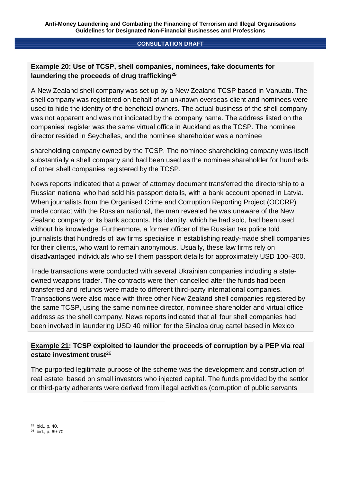## **Example 20: Use of TCSP, shell companies, nominees, fake documents for laundering the proceeds of drug trafficking<sup>25</sup>**

A New Zealand shell company was set up by a New Zealand TCSP based in Vanuatu. The shell company was registered on behalf of an unknown overseas client and nominees were used to hide the identity of the beneficial owners. The actual business of the shell company was not apparent and was not indicated by the company name. The address listed on the companies' register was the same virtual office in Auckland as the TCSP. The nominee director resided in Seychelles, and the nominee shareholder was a nominee

shareholding company owned by the TCSP. The nominee shareholding company was itself substantially a shell company and had been used as the nominee shareholder for hundreds of other shell companies registered by the TCSP.

News reports indicated that a power of attorney document transferred the directorship to a Russian national who had sold his passport details, with a bank account opened in Latvia. When journalists from the Organised Crime and Corruption Reporting Project (OCCRP) made contact with the Russian national, the man revealed he was unaware of the New Zealand company or its bank accounts. His identity, which he had sold, had been used without his knowledge. Furthermore, a former officer of the Russian tax police told journalists that hundreds of law firms specialise in establishing ready-made shell companies for their clients, who want to remain anonymous. Usually, these law firms rely on disadvantaged individuals who sell them passport details for approximately USD 100–300.

Trade transactions were conducted with several Ukrainian companies including a stateowned weapons trader. The contracts were then cancelled after the funds had been transferred and refunds were made to different third-party international companies. Transactions were also made with three other New Zealand shell companies registered by the same TCSP, using the same nominee director, nominee shareholder and virtual office address as the shell company. News reports indicated that all four shell companies had been involved in laundering USD 40 million for the Sinaloa drug cartel based in Mexico.

## **Example 21: TCSP exploited to launder the proceeds of corruption by a PEP via real estate investment trust**<sup>26</sup>

The purported legitimate purpose of the scheme was the development and construction of real estate, based on small investors who injected capital. The funds provided by the settlor or third-party adherents were derived from illegal activities (corruption of public servants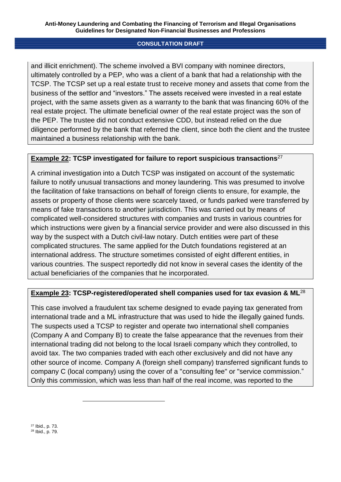and illicit enrichment). The scheme involved a BVI company with nominee directors, ultimately controlled by a PEP, who was a client of a bank that had a relationship with the TCSP. The TCSP set up a real estate trust to receive money and assets that come from the business of the settlor and "investors." The assets received were invested in a real estate project, with the same assets given as a warranty to the bank that was financing 60% of the real estate project. The ultimate beneficial owner of the real estate project was the son of the PEP. The trustee did not conduct extensive CDD, but instead relied on the due diligence performed by the bank that referred the client, since both the client and the trustee maintained a business relationship with the bank.

## **Example 22: TCSP investigated for failure to report suspicious transactions**<sup>27</sup>

A criminal investigation into a Dutch TCSP was instigated on account of the systematic failure to notify unusual transactions and money laundering. This was presumed to involve the facilitation of fake transactions on behalf of foreign clients to ensure, for example, the assets or property of those clients were scarcely taxed, or funds parked were transferred by means of fake transactions to another jurisdiction. This was carried out by means of complicated well-considered structures with companies and trusts in various countries for which instructions were given by a financial service provider and were also discussed in this way by the suspect with a Dutch civil-law notary. Dutch entities were part of these complicated structures. The same applied for the Dutch foundations registered at an international address. The structure sometimes consisted of eight different entities, in various countries. The suspect reportedly did not know in several cases the identity of the actual beneficiaries of the companies that he incorporated.

## **Example 23: TCSP-registered/operated shell companies used for tax evasion & ML**<sup>28</sup>

This case involved a fraudulent tax scheme designed to evade paying tax generated from international trade and a ML infrastructure that was used to hide the illegally gained funds. The suspects used a TCSP to register and operate two international shell companies (Company A and Company B) to create the false appearance that the revenues from their international trading did not belong to the local Israeli company which they controlled, to avoid tax. The two companies traded with each other exclusively and did not have any other source of income. Company A (foreign shell company) transferred significant funds to company C (local company) using the cover of a "consulting fee" or "service commission." Only this commission, which was less than half of the real income, was reported to the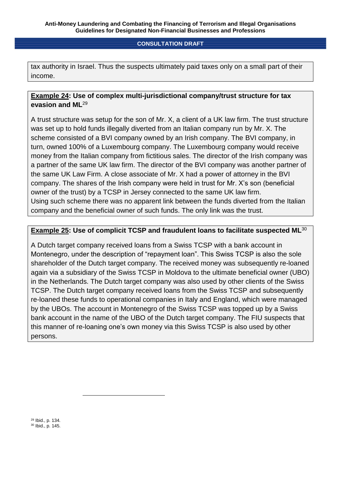tax authority in Israel. Thus the suspects ultimately paid taxes only on a small part of their income.

## **Example 24: Use of complex multi-jurisdictional company/trust structure for tax evasion and ML**<sup>29</sup>

A trust structure was setup for the son of Mr. X, a client of a UK law firm. The trust structure was set up to hold funds illegally diverted from an Italian company run by Mr. X. The scheme consisted of a BVI company owned by an Irish company. The BVI company, in turn, owned 100% of a Luxembourg company. The Luxembourg company would receive money from the Italian company from fictitious sales. The director of the Irish company was a partner of the same UK law firm. The director of the BVI company was another partner of the same UK Law Firm. A close associate of Mr. X had a power of attorney in the BVI company. The shares of the Irish company were held in trust for Mr. X's son (beneficial owner of the trust) by a TCSP in Jersey connected to the same UK law firm. Using such scheme there was no apparent link between the funds diverted from the Italian company and the beneficial owner of such funds. The only link was the trust.

## **Example 25: Use of complicit TCSP and fraudulent loans to facilitate suspected ML**<sup>30</sup>

A Dutch target company received loans from a Swiss TCSP with a bank account in Montenegro, under the description of "repayment loan". This Swiss TCSP is also the sole shareholder of the Dutch target company. The received money was subsequently re-loaned again via a subsidiary of the Swiss TCSP in Moldova to the ultimate beneficial owner (UBO) in the Netherlands. The Dutch target company was also used by other clients of the Swiss TCSP. The Dutch target company received loans from the Swiss TCSP and subsequently re-loaned these funds to operational companies in Italy and England, which were managed by the UBOs. The account in Montenegro of the Swiss TCSP was topped up by a Swiss bank account in the name of the UBO of the Dutch target company. The FIU suspects that this manner of re-loaning one's own money via this Swiss TCSP is also used by other persons.

<sup>29</sup> Ibid., p. 134. <sup>30</sup> Ibid., p. 145.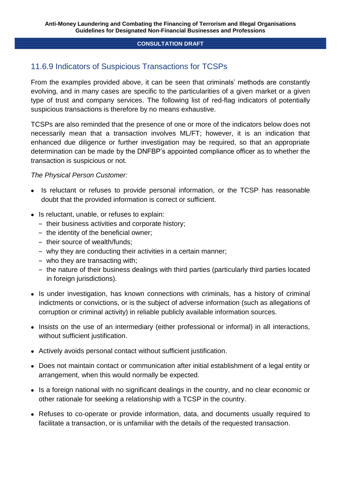# 11.6.9 Indicators of Suspicious Transactions for TCSPs

From the examples provided above, it can be seen that criminals' methods are constantly evolving, and in many cases are specific to the particularities of a given market or a given type of trust and company services. The following list of red-flag indicators of potentially suspicious transactions is therefore by no means exhaustive.

TCSPs are also reminded that the presence of one or more of the indicators below does not necessarily mean that a transaction involves ML/FT; however, it is an indication that enhanced due diligence or further investigation may be required, so that an appropriate determination can be made by the DNFBP's appointed compliance officer as to whether the transaction is suspicious or not.

## *The Physical Person Customer:*

- Is reluctant or refuses to provide personal information, or the TCSP has reasonable doubt that the provided information is correct or sufficient.
- Is reluctant, unable, or refuses to explain:
	- ‒ their business activities and corporate history;
	- the identity of the beneficial owner;
	- their source of wealth/funds;
	- ‒ why they are conducting their activities in a certain manner;
	- ‒ who they are transacting with;
	- the nature of their business dealings with third parties (particularly third parties located in foreign jurisdictions).
- Is under investigation, has known connections with criminals, has a history of criminal indictments or convictions, or is the subject of adverse information (such as allegations of corruption or criminal activity) in reliable publicly available information sources.
- Insists on the use of an intermediary (either professional or informal) in all interactions, without sufficient justification.
- Actively avoids personal contact without sufficient justification.
- Does not maintain contact or communication after initial establishment of a legal entity or arrangement, when this would normally be expected.
- Is a foreign national with no significant dealings in the country, and no clear economic or other rationale for seeking a relationship with a TCSP in the country.
- Refuses to co-operate or provide information, data, and documents usually required to facilitate a transaction, or is unfamiliar with the details of the requested transaction.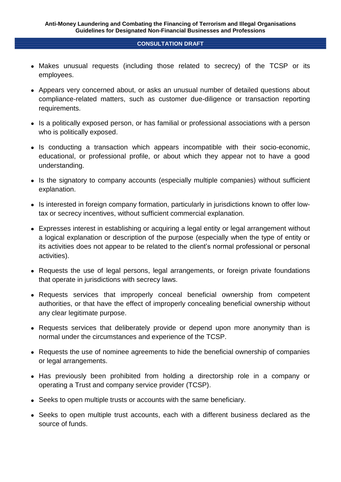- Makes unusual requests (including those related to secrecy) of the TCSP or its employees.
- Appears very concerned about, or asks an unusual number of detailed questions about compliance-related matters, such as customer due-diligence or transaction reporting requirements.
- Is a politically exposed person, or has familial or professional associations with a person who is politically exposed.
- Is conducting a transaction which appears incompatible with their socio-economic, educational, or professional profile, or about which they appear not to have a good understanding.
- Is the signatory to company accounts (especially multiple companies) without sufficient explanation.
- Is interested in foreign company formation, particularly in jurisdictions known to offer lowtax or secrecy incentives, without sufficient commercial explanation.
- Expresses interest in establishing or acquiring a legal entity or legal arrangement without a logical explanation or description of the purpose (especially when the type of entity or its activities does not appear to be related to the client's normal professional or personal activities).
- Requests the use of legal persons, legal arrangements, or foreign private foundations that operate in jurisdictions with secrecy laws.
- Requests services that improperly conceal beneficial ownership from competent authorities, or that have the effect of improperly concealing beneficial ownership without any clear legitimate purpose.
- Requests services that deliberately provide or depend upon more anonymity than is normal under the circumstances and experience of the TCSP.
- Requests the use of nominee agreements to hide the beneficial ownership of companies or legal arrangements.
- Has previously been prohibited from holding a directorship role in a company or operating a Trust and company service provider (TCSP).
- Seeks to open multiple trusts or accounts with the same beneficiary.
- Seeks to open multiple trust accounts, each with a different business declared as the source of funds.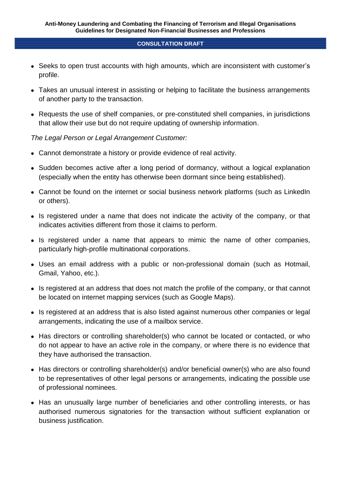- Seeks to open trust accounts with high amounts, which are inconsistent with customer's profile.
- Takes an unusual interest in assisting or helping to facilitate the business arrangements of another party to the transaction.
- Requests the use of shelf companies, or pre-constituted shell companies, in jurisdictions that allow their use but do not require updating of ownership information.

## *The Legal Person or Legal Arrangement Customer:*

- Cannot demonstrate a history or provide evidence of real activity.
- Sudden becomes active after a long period of dormancy, without a logical explanation (especially when the entity has otherwise been dormant since being established).
- Cannot be found on the internet or social business network platforms (such as LinkedIn or others).
- Is registered under a name that does not indicate the activity of the company, or that indicates activities different from those it claims to perform.
- Is registered under a name that appears to mimic the name of other companies, particularly high-profile multinational corporations.
- Uses an email address with a public or non-professional domain (such as Hotmail, Gmail, Yahoo, etc.).
- Is registered at an address that does not match the profile of the company, or that cannot be located on internet mapping services (such as Google Maps).
- Is registered at an address that is also listed against numerous other companies or legal arrangements, indicating the use of a mailbox service.
- Has directors or controlling shareholder(s) who cannot be located or contacted, or who do not appear to have an active role in the company, or where there is no evidence that they have authorised the transaction.
- Has directors or controlling shareholder(s) and/or beneficial owner(s) who are also found to be representatives of other legal persons or arrangements, indicating the possible use of professional nominees.
- Has an unusually large number of beneficiaries and other controlling interests, or has authorised numerous signatories for the transaction without sufficient explanation or business justification.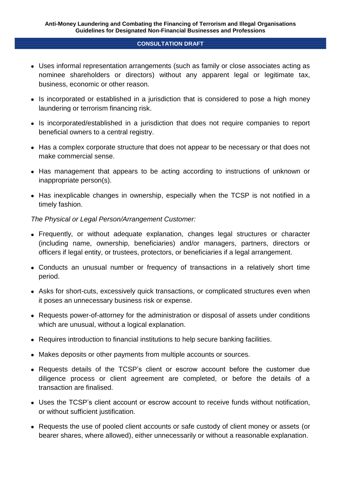- Uses informal representation arrangements (such as family or close associates acting as nominee shareholders or directors) without any apparent legal or legitimate tax, business, economic or other reason.
- Is incorporated or established in a jurisdiction that is considered to pose a high money laundering or terrorism financing risk.
- Is incorporated/established in a jurisdiction that does not require companies to report beneficial owners to a central registry.
- Has a complex corporate structure that does not appear to be necessary or that does not make commercial sense.
- Has management that appears to be acting according to instructions of unknown or inappropriate person(s).
- Has inexplicable changes in ownership, especially when the TCSP is not notified in a timely fashion.

## *The Physical or Legal Person/Arrangement Customer:*

- Frequently, or without adequate explanation, changes legal structures or character (including name, ownership, beneficiaries) and/or managers, partners, directors or officers if legal entity, or trustees, protectors, or beneficiaries if a legal arrangement.
- Conducts an unusual number or frequency of transactions in a relatively short time period.
- Asks for short-cuts, excessively quick transactions, or complicated structures even when it poses an unnecessary business risk or expense.
- Requests power-of-attorney for the administration or disposal of assets under conditions which are unusual, without a logical explanation.
- Requires introduction to financial institutions to help secure banking facilities.
- Makes deposits or other payments from multiple accounts or sources.
- Requests details of the TCSP's client or escrow account before the customer due diligence process or client agreement are completed, or before the details of a transaction are finalised.
- Uses the TCSP's client account or escrow account to receive funds without notification, or without sufficient justification.
- Requests the use of pooled client accounts or safe custody of client money or assets (or bearer shares, where allowed), either unnecessarily or without a reasonable explanation.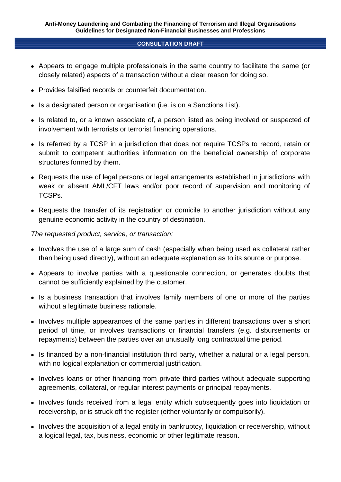- Appears to engage multiple professionals in the same country to facilitate the same (or closely related) aspects of a transaction without a clear reason for doing so.
- Provides falsified records or counterfeit documentation.
- Is a designated person or organisation (i.e. is on a Sanctions List).
- Is related to, or a known associate of, a person listed as being involved or suspected of involvement with terrorists or terrorist financing operations.
- Is referred by a TCSP in a jurisdiction that does not require TCSPs to record, retain or submit to competent authorities information on the beneficial ownership of corporate structures formed by them.
- Requests the use of legal persons or legal arrangements established in jurisdictions with weak or absent AML/CFT laws and/or poor record of supervision and monitoring of TCSPs.
- Requests the transfer of its registration or domicile to another jurisdiction without any genuine economic activity in the country of destination.

*The requested product, service, or transaction:*

- Involves the use of a large sum of cash (especially when being used as collateral rather than being used directly), without an adequate explanation as to its source or purpose.
- Appears to involve parties with a questionable connection, or generates doubts that cannot be sufficiently explained by the customer.
- Is a business transaction that involves family members of one or more of the parties without a legitimate business rationale.
- Involves multiple appearances of the same parties in different transactions over a short period of time, or involves transactions or financial transfers (e.g. disbursements or repayments) between the parties over an unusually long contractual time period.
- Is financed by a non-financial institution third party, whether a natural or a legal person, with no logical explanation or commercial justification.
- Involves loans or other financing from private third parties without adequate supporting agreements, collateral, or regular interest payments or principal repayments.
- Involves funds received from a legal entity which subsequently goes into liquidation or receivership, or is struck off the register (either voluntarily or compulsorily).
- Involves the acquisition of a legal entity in bankruptcy, liquidation or receivership, without a logical legal, tax, business, economic or other legitimate reason.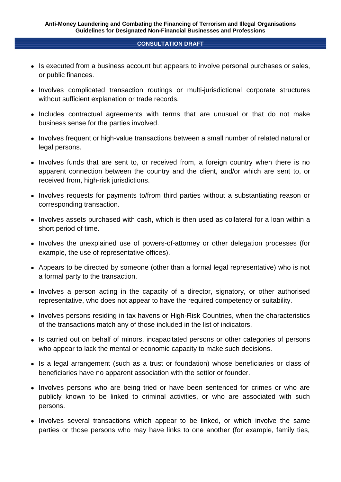- Is executed from a business account but appears to involve personal purchases or sales, or public finances.
- Involves complicated transaction routings or multi-jurisdictional corporate structures without sufficient explanation or trade records.
- Includes contractual agreements with terms that are unusual or that do not make business sense for the parties involved.
- Involves frequent or high-value transactions between a small number of related natural or legal persons.
- Involves funds that are sent to, or received from, a foreign country when there is no apparent connection between the country and the client, and/or which are sent to, or received from, high-risk jurisdictions.
- Involves requests for payments to/from third parties without a substantiating reason or corresponding transaction.
- Involves assets purchased with cash, which is then used as collateral for a loan within a short period of time.
- Involves the unexplained use of powers-of-attorney or other delegation processes (for example, the use of representative offices).
- Appears to be directed by someone (other than a formal legal representative) who is not a formal party to the transaction.
- Involves a person acting in the capacity of a director, signatory, or other authorised representative, who does not appear to have the required competency or suitability.
- Involves persons residing in tax havens or High-Risk Countries, when the characteristics of the transactions match any of those included in the list of indicators.
- Is carried out on behalf of minors, incapacitated persons or other categories of persons who appear to lack the mental or economic capacity to make such decisions.
- Is a legal arrangement (such as a trust or foundation) whose beneficiaries or class of beneficiaries have no apparent association with the settlor or founder.
- Involves persons who are being tried or have been sentenced for crimes or who are publicly known to be linked to criminal activities, or who are associated with such persons.
- Involves several transactions which appear to be linked, or which involve the same parties or those persons who may have links to one another (for example, family ties,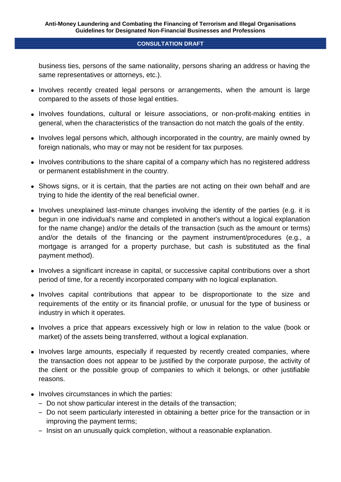business ties, persons of the same nationality, persons sharing an address or having the same representatives or attorneys, etc.).

- Involves recently created legal persons or arrangements, when the amount is large compared to the assets of those legal entities.
- Involves foundations, cultural or leisure associations, or non-profit-making entities in general, when the characteristics of the transaction do not match the goals of the entity.
- Involves legal persons which, although incorporated in the country, are mainly owned by foreign nationals, who may or may not be resident for tax purposes.
- Involves contributions to the share capital of a company which has no registered address or permanent establishment in the country.
- Shows signs, or it is certain, that the parties are not acting on their own behalf and are trying to hide the identity of the real beneficial owner.
- Involves unexplained last-minute changes involving the identity of the parties (e.g. it is begun in one individual's name and completed in another's without a logical explanation for the name change) and/or the details of the transaction (such as the amount or terms) and/or the details of the financing or the payment instrument/procedures (e.g., a mortgage is arranged for a property purchase, but cash is substituted as the final payment method).
- Involves a significant increase in capital, or successive capital contributions over a short period of time, for a recently incorporated company with no logical explanation.
- Involves capital contributions that appear to be disproportionate to the size and requirements of the entity or its financial profile, or unusual for the type of business or industry in which it operates.
- Involves a price that appears excessively high or low in relation to the value (book or market) of the assets being transferred, without a logical explanation.
- Involves large amounts, especially if requested by recently created companies, where the transaction does not appear to be justified by the corporate purpose, the activity of the client or the possible group of companies to which it belongs, or other justifiable reasons.
- Involves circumstances in which the parties:
	- ‒ Do not show particular interest in the details of the transaction;
	- ‒ Do not seem particularly interested in obtaining a better price for the transaction or in improving the payment terms;
	- Insist on an unusually quick completion, without a reasonable explanation.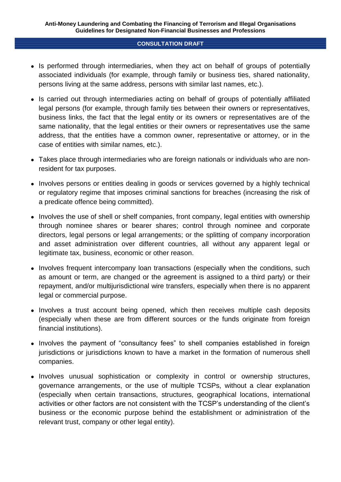- Is performed through intermediaries, when they act on behalf of groups of potentially associated individuals (for example, through family or business ties, shared nationality, persons living at the same address, persons with similar last names, etc.).
- Is carried out through intermediaries acting on behalf of groups of potentially affiliated legal persons (for example, through family ties between their owners or representatives, business links, the fact that the legal entity or its owners or representatives are of the same nationality, that the legal entities or their owners or representatives use the same address, that the entities have a common owner, representative or attorney, or in the case of entities with similar names, etc.).
- Takes place through intermediaries who are foreign nationals or individuals who are nonresident for tax purposes.
- Involves persons or entities dealing in goods or services governed by a highly technical or regulatory regime that imposes criminal sanctions for breaches (increasing the risk of a predicate offence being committed).
- Involves the use of shell or shelf companies, front company, legal entities with ownership through nominee shares or bearer shares; control through nominee and corporate directors, legal persons or legal arrangements; or the splitting of company incorporation and asset administration over different countries, all without any apparent legal or legitimate tax, business, economic or other reason.
- Involves frequent intercompany loan transactions (especially when the conditions, such as amount or term, are changed or the agreement is assigned to a third party) or their repayment, and/or multijurisdictional wire transfers, especially when there is no apparent legal or commercial purpose.
- Involves a trust account being opened, which then receives multiple cash deposits (especially when these are from different sources or the funds originate from foreign financial institutions).
- Involves the payment of "consultancy fees" to shell companies established in foreign jurisdictions or jurisdictions known to have a market in the formation of numerous shell companies.
- Involves unusual sophistication or complexity in control or ownership structures, governance arrangements, or the use of multiple TCSPs, without a clear explanation (especially when certain transactions, structures, geographical locations, international activities or other factors are not consistent with the TCSP's understanding of the client's business or the economic purpose behind the establishment or administration of the relevant trust, company or other legal entity).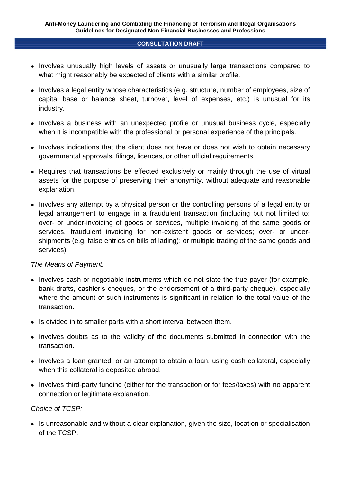- Involves unusually high levels of assets or unusually large transactions compared to what might reasonably be expected of clients with a similar profile.
- Involves a legal entity whose characteristics (e.g. structure, number of employees, size of capital base or balance sheet, turnover, level of expenses, etc.) is unusual for its industry.
- Involves a business with an unexpected profile or unusual business cycle, especially when it is incompatible with the professional or personal experience of the principals.
- Involves indications that the client does not have or does not wish to obtain necessary governmental approvals, filings, licences, or other official requirements.
- Requires that transactions be effected exclusively or mainly through the use of virtual assets for the purpose of preserving their anonymity, without adequate and reasonable explanation.
- Involves any attempt by a physical person or the controlling persons of a legal entity or legal arrangement to engage in a fraudulent transaction (including but not limited to: over- or under-invoicing of goods or services, multiple invoicing of the same goods or services, fraudulent invoicing for non-existent goods or services; over- or undershipments (e.g. false entries on bills of lading); or multiple trading of the same goods and services).

## *The Means of Payment:*

- Involves cash or negotiable instruments which do not state the true payer (for example, bank drafts, cashier's cheques, or the endorsement of a third-party cheque), especially where the amount of such instruments is significant in relation to the total value of the transaction.
- Is divided in to smaller parts with a short interval between them.
- Involves doubts as to the validity of the documents submitted in connection with the transaction.
- Involves a loan granted, or an attempt to obtain a loan, using cash collateral, especially when this collateral is deposited abroad.
- Involves third-party funding (either for the transaction or for fees/taxes) with no apparent connection or legitimate explanation.

## *Choice of TCSP:*

• Is unreasonable and without a clear explanation, given the size, location or specialisation of the TCSP.